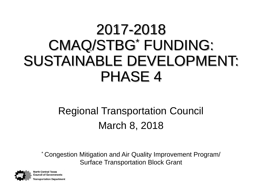#### 2017-2018 CMAQ/STBG\* FUNDING: SUSTAINABLE DEVELOPMENT: PHASE 4

#### Regional Transportation Council March 8, 2018

\* Congestion Mitigation and Air Quality Improvement Program/ Surface Transportation Block Grant



**North Central Texas Council of Governments** ransportation Department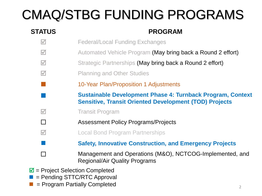### CMAQ/STBG FUNDING PROGRAMS

#### **STATUS PROGRAM**  $\blacksquare$  Federal/Local Funding Exchanges **M** Automated Vehicle Program (May bring back a Round 2 effort)  $\blacksquare$  Strategic Partnerships (May bring back a Round 2 effort) **M** Planning and Other Studies 10-Year Plan/Proposition 1 Adjustments **Sustainable Development Phase 4: Turnback Program, Context Sensitive, Transit Oriented Development (TOD) Projects M** Transit Program □ **Assessment Policy Programs/Projects M Local Bond Program Partnerships Safety, Innovative Construction, and Emergency Projects** □ Management and Operations (M&O), NCTCOG-Implemented, and Regional/Air Quality Programs

- $\blacksquare$  = Project Selection Completed
- = Pending STTC/RTC Approval
- = Program Partially Completed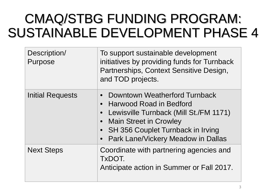#### CMAQ/STBG FUNDING PROGRAM: SUSTAINABLE DEVELOPMENT PHASE 4

| Description/<br>Purpose | To support sustainable development<br>initiatives by providing funds for Turnback<br>Partnerships, Context Sensitive Design,<br>and TOD projects.                                                                    |
|-------------------------|----------------------------------------------------------------------------------------------------------------------------------------------------------------------------------------------------------------------|
| Initial Requests        | Downtown Weatherford Turnback<br>• Harwood Road in Bedford<br>Lewisville Turnback (Mill St./FM 1171)<br><b>Main Street in Crowley</b><br>• SH 356 Couplet Turnback in Irving<br>• Park Lane/Vickery Meadow in Dallas |
| <b>Next Steps</b>       | Coordinate with partnering agencies and<br>TxDOT.<br>Anticipate action in Summer or Fall 2017.                                                                                                                       |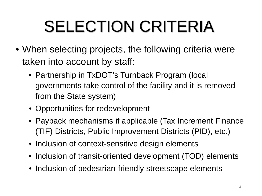# SELECTION CRITERIA

- When selecting projects, the following criteria were taken into account by staff:
	- Partnership in TxDOT's Turnback Program (local governments take control of the facility and it is removed from the State system)
	- Opportunities for redevelopment
	- Payback mechanisms if applicable (Tax Increment Finance (TIF) Districts, Public Improvement Districts (PID), etc.)
	- Inclusion of context-sensitive design elements
	- Inclusion of transit-oriented development (TOD) elements
	- Inclusion of pedestrian-friendly streetscape elements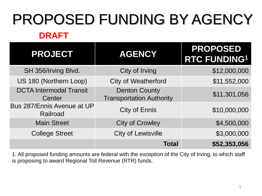## PROPOSED FUNDING BY AGENCY

#### **DRAFT**

| <b>PROJECT</b>                           | <b>AGENCY</b>                                           | <b>PROPOSED</b><br><b>RTC FUNDING1</b> |
|------------------------------------------|---------------------------------------------------------|----------------------------------------|
| SH 356/Irving Blvd.                      | City of Irving                                          | \$12,000,000                           |
| US 180 (Northern Loop)                   | <b>City of Weatherford</b>                              | \$11,552,000                           |
| <b>DCTA Intermodal Transit</b><br>Center | <b>Denton County</b><br><b>Transportation Authority</b> | \$11,301,056                           |
| Bus 287/Ennis Avenue at UP<br>Railroad   | <b>City of Ennis</b>                                    | \$10,000,000                           |
| <b>Main Street</b>                       | <b>City of Crowley</b>                                  | \$4,500,000                            |
| <b>College Street</b>                    | <b>City of Lewisville</b>                               | \$3,000,000                            |
|                                          | <b>Total</b>                                            | \$52,353,056                           |

1: All proposed funding amounts are federal with the exception of the City of Irving, to which staff is proposing to award Regional Toll Revenue (RTR) funds.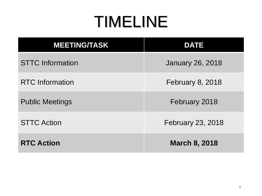### TIMELINE

| <b>MEETING/TASK</b>     | <b>DATE</b>              |
|-------------------------|--------------------------|
| <b>STTC Information</b> | <b>January 26, 2018</b>  |
| <b>RTC</b> Information  | <b>February 8, 2018</b>  |
| <b>Public Meetings</b>  | February 2018            |
| <b>STTC Action</b>      | <b>February 23, 2018</b> |
| <b>RTC Action</b>       | <b>March 8, 2018</b>     |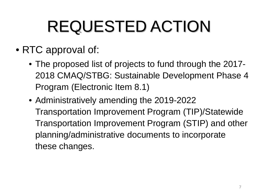# REQUESTED ACTION

- RTC approval of:
	- The proposed list of projects to fund through the 2017- 2018 CMAQ/STBG: Sustainable Development Phase 4 Program (Electronic Item 8.1)
	- Administratively amending the 2019-2022 Transportation Improvement Program (TIP)/Statewide Transportation Improvement Program (STIP) and other planning/administrative documents to incorporate these changes.